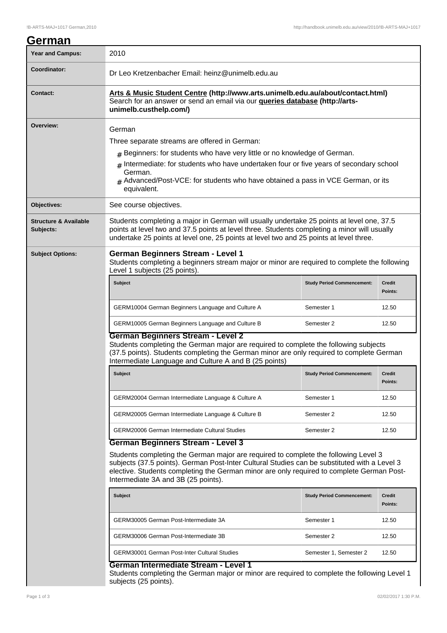# **German** Year and Campus: 2010 **Coordinator:** Dr Leo Kretzenbacher Email: heinz@unimelb.edu.au **Contact: Arts & Music Student Centre (http://www.arts.unimelb.edu.au/about/contact.html)** Search for an answer or send an email via our **queries database (http://artsunimelb.custhelp.com/) Overview:** German Three separate streams are offered in German:  $#$  Beginners: for students who have very little or no knowledge of German. # Intermediate: for students who have undertaken four or five years of secondary school German. Advanced/Post-VCE: for students who have obtained a pass in VCE German, or its equivalent. **Objectives:** See course objectives. **Structure & Available Subjects:** Students completing a major in German will usually undertake 25 points at level one, 37.5 points at level two and 37.5 points at level three. Students completing a minor will usually undertake 25 points at level one, 25 points at level two and 25 points at level three. **Subject Options: German Beginners Stream - Level 1** Students completing a beginners stream major or minor are required to complete the following Level 1 subjects (25 points). **Subject Study Period Commencement: Credit Points:** GERM10004 German Beginners Language and Culture A Semester 1 5 Semester 1 2.50 GERM10005 German Beginners Language and Culture B Semester 2 12.50 **German Beginners Stream - Level 2** Students completing the German major are required to complete the following subjects (37.5 points). Students completing the German minor are only required to complete German Intermediate Language and Culture A and B (25 points) **Subject Study Period Commencement: Credit Points:** GERM20004 German Intermediate Language & Culture A Semester 1 5 Semester 1 2.50 GERM20005 German Intermediate Language & Culture B Semester 2 12.50 GERM20006 German Intermediate Cultural Studies Semester 2 12.50 **German Beginners Stream - Level 3** Students completing the German major are required to complete the following Level 3 subjects (37.5 points). German Post-Inter Cultural Studies can be substituted with a Level 3 elective. Students completing the German minor are only required to complete German Post-Intermediate 3A and 3B (25 points). **Subject Study Period Commencement: Credit Points:** GERM30005 German Post-Intermediate 3A Semester 1 12.50 GERM30006 German Post-Intermediate 3B Semester 2 12.50 GERM30001 German Post-Inter Cultural Studies Semester 1, Semester 2 12.50 **German Intermediate Stream - Level 1** Students completing the German major or minor are required to complete the following Level 1 subjects (25 points).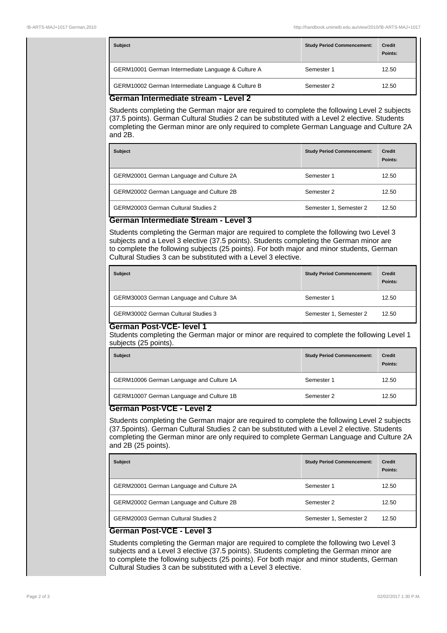| <b>Subject</b>                                                   | <b>Study Period Commencement:</b> | <b>Credit</b><br>Points: |
|------------------------------------------------------------------|-----------------------------------|--------------------------|
| GERM10001 German Intermediate Language & Culture A               | Semester 1                        | 12.50                    |
| GERM10002 German Intermediate Language & Culture B<br>Semester 2 |                                   | 12.50                    |

#### **German Intermediate stream - Level 2**

Students completing the German major are required to complete the following Level 2 subjects (37.5 points). German Cultural Studies 2 can be substituted with a Level 2 elective. Students completing the German minor are only required to complete German Language and Culture 2A and 2B.

| <b>Subject</b>                           | <b>Study Period Commencement:</b> | <b>Credit</b><br>Points: |
|------------------------------------------|-----------------------------------|--------------------------|
| GERM20001 German Language and Culture 2A | Semester 1                        | 12.50                    |
| GERM20002 German Language and Culture 2B | 12.50<br>Semester 2               |                          |
| GERM20003 German Cultural Studies 2      | Semester 1, Semester 2            | 12.50                    |

### **German Intermediate Stream - Level 3**

Students completing the German major are required to complete the following two Level 3 subjects and a Level 3 elective (37.5 points). Students completing the German minor are to complete the following subjects (25 points). For both major and minor students, German Cultural Studies 3 can be substituted with a Level 3 elective.

| <b>Subject</b>                             | <b>Study Period Commencement:</b> | <b>Credit</b><br>Points: |
|--------------------------------------------|-----------------------------------|--------------------------|
| GERM30003 German Language and Culture 3A   | Semester 1                        | 12.50                    |
| <b>GERM30002 German Cultural Studies 3</b> | Semester 1, Semester 2            | 12.50                    |

### **German Post-VCE- level 1**

Students completing the German major or minor are required to complete the following Level 1 subjects (25 points).

| <b>Subject</b>                                         | <b>Study Period Commencement:</b> | <b>Credit</b><br>Points: |
|--------------------------------------------------------|-----------------------------------|--------------------------|
| GERM10006 German Language and Culture 1A               | Semester 1                        | 12.50                    |
| GERM10007 German Language and Culture 1B<br>Semester 2 |                                   | 12.50                    |

#### **German Post-VCE - Level 2**

Students completing the German major are required to complete the following Level 2 subjects (37.5points). German Cultural Studies 2 can be substituted with a Level 2 elective. Students completing the German minor are only required to complete German Language and Culture 2A and 2B (25 points).

| <b>Subject</b>                           | <b>Study Period Commencement:</b> | <b>Credit</b><br>Points: |
|------------------------------------------|-----------------------------------|--------------------------|
| GERM20001 German Language and Culture 2A | Semester 1                        | 12.50                    |
| GERM20002 German Language and Culture 2B | 12.50<br>Semester 2               |                          |
| GERM20003 German Cultural Studies 2      | Semester 1, Semester 2            | 12.50                    |

## **German Post-VCE - Level 3**

Students completing the German major are required to complete the following two Level 3 subjects and a Level 3 elective (37.5 points). Students completing the German minor are to complete the following subjects (25 points). For both major and minor students, German Cultural Studies 3 can be substituted with a Level 3 elective.